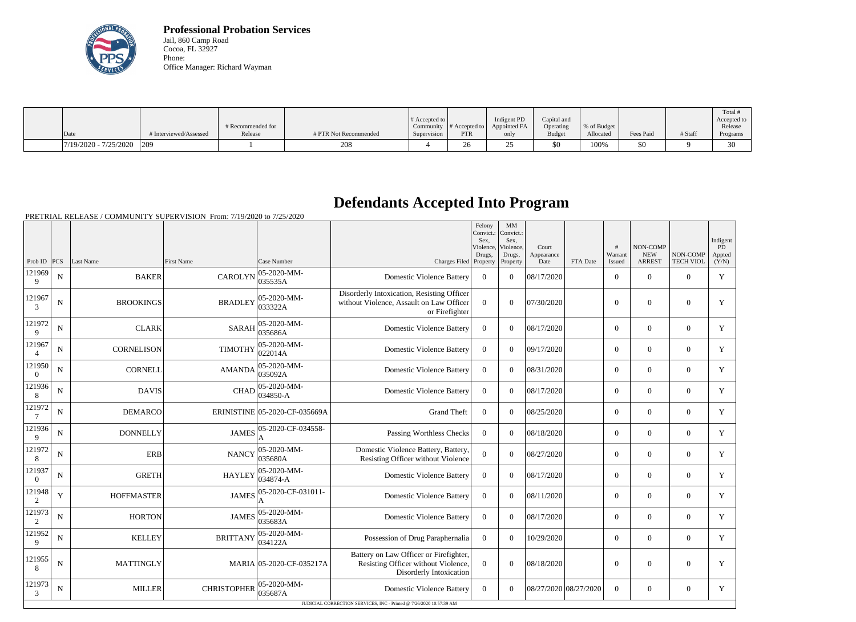

**Professional Probation Services** Jail, 860 Camp Road Cocoa, FL 32927 Phone: Office Manager: Richard Wayman

|                         |                        |                   |                       |                  |               |              |               |             |           |         | Total #     |
|-------------------------|------------------------|-------------------|-----------------------|------------------|---------------|--------------|---------------|-------------|-----------|---------|-------------|
|                         |                        |                   |                       | $\#$ Accepted to |               | Indigent PD  | Capital and   |             |           |         | Accepted to |
|                         |                        | # Recommended for |                       | Community        | # Accepted to | Appointed FA | Operating     | % of Budget |           |         | Release     |
| Date                    | # Interviewed/Assessed | Release           | # PTR Not Recommended | Supervision      | PTR           | only         | <b>Budget</b> | Allocated   | Fees Paid | # Staff | Programs    |
| $7/19/2020 - 7/25/2020$ | 209                    |                   | 208                   |                  | 26            |              | $$^{<}$       | 100%        | 50        |         | $\sim$      |

## **Defendants Accepted Into Program**

PRETRIAL RELEASE / COMMUNITY SUPERVISION From: 7/19/2020 to 7/25/2020

| <b>TECH VIOL</b><br>Prob ID $ PCS $<br>Last Name<br>First Name<br>Case Number<br>Charges Filed<br><b>ARREST</b><br>(Y/N)<br>Property<br>Property<br>Date<br>FTA Date<br>Issued<br>05-2020-MM-<br>121969<br><b>BAKER</b><br><b>CAROLYN</b><br>$\overline{0}$<br>Y<br>N<br><b>Domestic Violence Battery</b><br>$\Omega$<br>08/17/2020<br>$\mathbf{0}$<br>$\overline{0}$<br>$\theta$<br>035535A<br>9<br>Disorderly Intoxication, Resisting Officer<br>121967<br>05-2020-MM-<br>$\overline{N}$<br><b>BROOKINGS</b><br><b>BRADLEY</b><br>without Violence, Assault on Law Officer<br>$\overline{0}$<br>07/30/2020<br>$\mathbf{0}$<br>Y<br>$\theta$<br>$\theta$<br>$\Omega$<br>033322A<br>3<br>or Firefighter<br>121972<br>05-2020-MM-<br><b>CLARK</b><br><b>SARAH</b><br>N<br><b>Domestic Violence Battery</b><br>$\Omega$<br>$\theta$<br>08/17/2020<br>$\overline{0}$<br>$\mathbf{0}$<br>$\overline{0}$<br>Y<br>035686A<br>9<br>121967<br>05-2020-MM-<br><b>TIMOTHY</b><br>Y<br>N<br><b>CORNELISON</b><br><b>Domestic Violence Battery</b><br>$\Omega$<br>09/17/2020<br>$\Omega$<br>$\Omega$<br>$\Omega$<br>$\Omega$<br>022014A<br>$\overline{4}$<br>121950<br>05-2020-MM-<br><b>CORNELL</b><br><b>AMANDA</b><br>08/31/2020<br>$\overline{0}$<br>Y<br>N<br><b>Domestic Violence Battery</b><br>$\Omega$<br>$\Omega$<br>$\Omega$<br>$\overline{0}$<br>035092A<br>$\overline{0}$<br>121936<br>05-2020-MM-<br>CHAD<br>Y<br>N<br><b>DAVIS</b><br><b>Domestic Violence Battery</b><br>$\overline{0}$<br>$\theta$<br>08/17/2020<br>$\overline{0}$<br>$\mathbf{0}$<br>$\overline{0}$<br>034850-A<br>8<br>121972<br>ERINISTINE 05-2020-CF-035669A<br><b>Grand Theft</b><br>$\overline{0}$<br>$\overline{0}$<br>$\overline{0}$<br>$\mathbf{0}$<br>$\overline{0}$<br>Y<br>N<br><b>DEMARCO</b><br>08/25/2020<br>$7\phantom{.0}$<br>121936<br>05-2020-CF-034558-<br>Y<br>N<br><b>DONNELLY</b><br><b>JAMES</b><br>Passing Worthless Checks<br>$\overline{0}$<br>$\Omega$<br>08/18/2020<br>$\overline{0}$<br>$\Omega$<br>$\overline{0}$<br>9<br>121972<br>05-2020-MM-<br>Domestic Violence Battery, Battery,<br><b>ERB</b><br>$\overline{0}$<br>$\mathbf Y$<br>N<br><b>NANCY</b><br>$\theta$<br>08/27/2020<br>$\Omega$<br>$\Omega$<br>$\Omega$<br>035680A<br>Resisting Officer without Violence<br>8<br>121937<br>05-2020-MM-<br><b>GRETH</b><br>Y<br>N<br><b>HAYLEY</b><br><b>Domestic Violence Battery</b><br>$\theta$<br>$\theta$<br>08/17/2020<br>$\theta$<br>$\Omega$<br>$\overline{0}$<br>034874-A<br>$\overline{0}$<br>121948<br>05-2020-CF-031011-<br>Y<br><b>HOFFMASTER</b><br><b>JAMES</b><br><b>Domestic Violence Battery</b><br>$\overline{0}$<br>$\theta$<br>08/11/2020<br>$\overline{0}$<br>$\mathbf{0}$<br>$\overline{0}$<br>Y<br>2<br>A<br>121973<br>05-2020-MM-<br><b>JAMES</b><br>${\bf N}$<br><b>HORTON</b><br><b>Domestic Violence Battery</b><br>$\overline{0}$<br>08/17/2020<br>$\overline{0}$<br>$\mathbf{0}$<br>$\overline{0}$<br>Y<br>$\theta$<br>035683A<br>2<br>121952<br>05-2020-MM-<br><b>BRITTANY</b><br>Possession of Drug Paraphernalia<br>Y<br>N<br><b>KELLEY</b><br>$\overline{0}$<br>$\theta$<br>10/29/2020<br>$\overline{0}$<br>$\mathbf{0}$<br>$\mathbf{0}$<br>034122A<br>9<br>Battery on Law Officer or Firefighter,<br>121955<br>MARIA 05-2020-CF-035217A<br>Resisting Officer without Violence,<br>N<br><b>MATTINGLY</b><br>$\overline{0}$<br>$\theta$<br>08/18/2020<br>$\boldsymbol{0}$<br>$\Omega$<br>$\overline{0}$<br>Y<br>8<br>Disorderly Intoxication<br>121973<br>05-2020-MM-<br><b>MILLER</b><br><b>CHRISTOPHER</b><br><b>Domestic Violence Battery</b><br>08/27/2020 08/27/2020<br>$\overline{0}$<br>N<br>$\overline{0}$<br>$\theta$<br>$\mathbf{0}$<br>$\overline{0}$<br>Y<br>035687A<br>3<br>JUDICIAL CORRECTION SERVICES, INC - Printed @ 7/26/2020 10:57:39 AM |  |  |  | Felony<br>Convict.:<br>Sex.<br>Violence,<br>Drugs, | MM<br>Convict.:<br>Sex.<br>Violence,<br>Drugs, | Court<br>Appearance | #<br>Warrant | <b>NON-COMP</b><br><b>NEW</b> | NON-COMP | Indigent<br>PD<br>Appted |
|---------------------------------------------------------------------------------------------------------------------------------------------------------------------------------------------------------------------------------------------------------------------------------------------------------------------------------------------------------------------------------------------------------------------------------------------------------------------------------------------------------------------------------------------------------------------------------------------------------------------------------------------------------------------------------------------------------------------------------------------------------------------------------------------------------------------------------------------------------------------------------------------------------------------------------------------------------------------------------------------------------------------------------------------------------------------------------------------------------------------------------------------------------------------------------------------------------------------------------------------------------------------------------------------------------------------------------------------------------------------------------------------------------------------------------------------------------------------------------------------------------------------------------------------------------------------------------------------------------------------------------------------------------------------------------------------------------------------------------------------------------------------------------------------------------------------------------------------------------------------------------------------------------------------------------------------------------------------------------------------------------------------------------------------------------------------------------------------------------------------------------------------------------------------------------------------------------------------------------------------------------------------------------------------------------------------------------------------------------------------------------------------------------------------------------------------------------------------------------------------------------------------------------------------------------------------------------------------------------------------------------------------------------------------------------------------------------------------------------------------------------------------------------------------------------------------------------------------------------------------------------------------------------------------------------------------------------------------------------------------------------------------------------------------------------------------------------------------------------------------------------------------------------------------------------------------------------------------------------------------------------------------------------------------------------------------------------------------------------------------------------------------------------------------------------------------------------------------------------------------------------------------------------------------------------------------------------------------------------------------------------------------------------------------------------------------------------------------------------------------------------------------------------------------------|--|--|--|----------------------------------------------------|------------------------------------------------|---------------------|--------------|-------------------------------|----------|--------------------------|
|                                                                                                                                                                                                                                                                                                                                                                                                                                                                                                                                                                                                                                                                                                                                                                                                                                                                                                                                                                                                                                                                                                                                                                                                                                                                                                                                                                                                                                                                                                                                                                                                                                                                                                                                                                                                                                                                                                                                                                                                                                                                                                                                                                                                                                                                                                                                                                                                                                                                                                                                                                                                                                                                                                                                                                                                                                                                                                                                                                                                                                                                                                                                                                                                                                                                                                                                                                                                                                                                                                                                                                                                                                                                                                                                                                                                   |  |  |  |                                                    |                                                |                     |              |                               |          |                          |
|                                                                                                                                                                                                                                                                                                                                                                                                                                                                                                                                                                                                                                                                                                                                                                                                                                                                                                                                                                                                                                                                                                                                                                                                                                                                                                                                                                                                                                                                                                                                                                                                                                                                                                                                                                                                                                                                                                                                                                                                                                                                                                                                                                                                                                                                                                                                                                                                                                                                                                                                                                                                                                                                                                                                                                                                                                                                                                                                                                                                                                                                                                                                                                                                                                                                                                                                                                                                                                                                                                                                                                                                                                                                                                                                                                                                   |  |  |  |                                                    |                                                |                     |              |                               |          |                          |
|                                                                                                                                                                                                                                                                                                                                                                                                                                                                                                                                                                                                                                                                                                                                                                                                                                                                                                                                                                                                                                                                                                                                                                                                                                                                                                                                                                                                                                                                                                                                                                                                                                                                                                                                                                                                                                                                                                                                                                                                                                                                                                                                                                                                                                                                                                                                                                                                                                                                                                                                                                                                                                                                                                                                                                                                                                                                                                                                                                                                                                                                                                                                                                                                                                                                                                                                                                                                                                                                                                                                                                                                                                                                                                                                                                                                   |  |  |  |                                                    |                                                |                     |              |                               |          |                          |
|                                                                                                                                                                                                                                                                                                                                                                                                                                                                                                                                                                                                                                                                                                                                                                                                                                                                                                                                                                                                                                                                                                                                                                                                                                                                                                                                                                                                                                                                                                                                                                                                                                                                                                                                                                                                                                                                                                                                                                                                                                                                                                                                                                                                                                                                                                                                                                                                                                                                                                                                                                                                                                                                                                                                                                                                                                                                                                                                                                                                                                                                                                                                                                                                                                                                                                                                                                                                                                                                                                                                                                                                                                                                                                                                                                                                   |  |  |  |                                                    |                                                |                     |              |                               |          |                          |
|                                                                                                                                                                                                                                                                                                                                                                                                                                                                                                                                                                                                                                                                                                                                                                                                                                                                                                                                                                                                                                                                                                                                                                                                                                                                                                                                                                                                                                                                                                                                                                                                                                                                                                                                                                                                                                                                                                                                                                                                                                                                                                                                                                                                                                                                                                                                                                                                                                                                                                                                                                                                                                                                                                                                                                                                                                                                                                                                                                                                                                                                                                                                                                                                                                                                                                                                                                                                                                                                                                                                                                                                                                                                                                                                                                                                   |  |  |  |                                                    |                                                |                     |              |                               |          |                          |
|                                                                                                                                                                                                                                                                                                                                                                                                                                                                                                                                                                                                                                                                                                                                                                                                                                                                                                                                                                                                                                                                                                                                                                                                                                                                                                                                                                                                                                                                                                                                                                                                                                                                                                                                                                                                                                                                                                                                                                                                                                                                                                                                                                                                                                                                                                                                                                                                                                                                                                                                                                                                                                                                                                                                                                                                                                                                                                                                                                                                                                                                                                                                                                                                                                                                                                                                                                                                                                                                                                                                                                                                                                                                                                                                                                                                   |  |  |  |                                                    |                                                |                     |              |                               |          |                          |
|                                                                                                                                                                                                                                                                                                                                                                                                                                                                                                                                                                                                                                                                                                                                                                                                                                                                                                                                                                                                                                                                                                                                                                                                                                                                                                                                                                                                                                                                                                                                                                                                                                                                                                                                                                                                                                                                                                                                                                                                                                                                                                                                                                                                                                                                                                                                                                                                                                                                                                                                                                                                                                                                                                                                                                                                                                                                                                                                                                                                                                                                                                                                                                                                                                                                                                                                                                                                                                                                                                                                                                                                                                                                                                                                                                                                   |  |  |  |                                                    |                                                |                     |              |                               |          |                          |
|                                                                                                                                                                                                                                                                                                                                                                                                                                                                                                                                                                                                                                                                                                                                                                                                                                                                                                                                                                                                                                                                                                                                                                                                                                                                                                                                                                                                                                                                                                                                                                                                                                                                                                                                                                                                                                                                                                                                                                                                                                                                                                                                                                                                                                                                                                                                                                                                                                                                                                                                                                                                                                                                                                                                                                                                                                                                                                                                                                                                                                                                                                                                                                                                                                                                                                                                                                                                                                                                                                                                                                                                                                                                                                                                                                                                   |  |  |  |                                                    |                                                |                     |              |                               |          |                          |
|                                                                                                                                                                                                                                                                                                                                                                                                                                                                                                                                                                                                                                                                                                                                                                                                                                                                                                                                                                                                                                                                                                                                                                                                                                                                                                                                                                                                                                                                                                                                                                                                                                                                                                                                                                                                                                                                                                                                                                                                                                                                                                                                                                                                                                                                                                                                                                                                                                                                                                                                                                                                                                                                                                                                                                                                                                                                                                                                                                                                                                                                                                                                                                                                                                                                                                                                                                                                                                                                                                                                                                                                                                                                                                                                                                                                   |  |  |  |                                                    |                                                |                     |              |                               |          |                          |
|                                                                                                                                                                                                                                                                                                                                                                                                                                                                                                                                                                                                                                                                                                                                                                                                                                                                                                                                                                                                                                                                                                                                                                                                                                                                                                                                                                                                                                                                                                                                                                                                                                                                                                                                                                                                                                                                                                                                                                                                                                                                                                                                                                                                                                                                                                                                                                                                                                                                                                                                                                                                                                                                                                                                                                                                                                                                                                                                                                                                                                                                                                                                                                                                                                                                                                                                                                                                                                                                                                                                                                                                                                                                                                                                                                                                   |  |  |  |                                                    |                                                |                     |              |                               |          |                          |
|                                                                                                                                                                                                                                                                                                                                                                                                                                                                                                                                                                                                                                                                                                                                                                                                                                                                                                                                                                                                                                                                                                                                                                                                                                                                                                                                                                                                                                                                                                                                                                                                                                                                                                                                                                                                                                                                                                                                                                                                                                                                                                                                                                                                                                                                                                                                                                                                                                                                                                                                                                                                                                                                                                                                                                                                                                                                                                                                                                                                                                                                                                                                                                                                                                                                                                                                                                                                                                                                                                                                                                                                                                                                                                                                                                                                   |  |  |  |                                                    |                                                |                     |              |                               |          |                          |
|                                                                                                                                                                                                                                                                                                                                                                                                                                                                                                                                                                                                                                                                                                                                                                                                                                                                                                                                                                                                                                                                                                                                                                                                                                                                                                                                                                                                                                                                                                                                                                                                                                                                                                                                                                                                                                                                                                                                                                                                                                                                                                                                                                                                                                                                                                                                                                                                                                                                                                                                                                                                                                                                                                                                                                                                                                                                                                                                                                                                                                                                                                                                                                                                                                                                                                                                                                                                                                                                                                                                                                                                                                                                                                                                                                                                   |  |  |  |                                                    |                                                |                     |              |                               |          |                          |
|                                                                                                                                                                                                                                                                                                                                                                                                                                                                                                                                                                                                                                                                                                                                                                                                                                                                                                                                                                                                                                                                                                                                                                                                                                                                                                                                                                                                                                                                                                                                                                                                                                                                                                                                                                                                                                                                                                                                                                                                                                                                                                                                                                                                                                                                                                                                                                                                                                                                                                                                                                                                                                                                                                                                                                                                                                                                                                                                                                                                                                                                                                                                                                                                                                                                                                                                                                                                                                                                                                                                                                                                                                                                                                                                                                                                   |  |  |  |                                                    |                                                |                     |              |                               |          |                          |
|                                                                                                                                                                                                                                                                                                                                                                                                                                                                                                                                                                                                                                                                                                                                                                                                                                                                                                                                                                                                                                                                                                                                                                                                                                                                                                                                                                                                                                                                                                                                                                                                                                                                                                                                                                                                                                                                                                                                                                                                                                                                                                                                                                                                                                                                                                                                                                                                                                                                                                                                                                                                                                                                                                                                                                                                                                                                                                                                                                                                                                                                                                                                                                                                                                                                                                                                                                                                                                                                                                                                                                                                                                                                                                                                                                                                   |  |  |  |                                                    |                                                |                     |              |                               |          |                          |
|                                                                                                                                                                                                                                                                                                                                                                                                                                                                                                                                                                                                                                                                                                                                                                                                                                                                                                                                                                                                                                                                                                                                                                                                                                                                                                                                                                                                                                                                                                                                                                                                                                                                                                                                                                                                                                                                                                                                                                                                                                                                                                                                                                                                                                                                                                                                                                                                                                                                                                                                                                                                                                                                                                                                                                                                                                                                                                                                                                                                                                                                                                                                                                                                                                                                                                                                                                                                                                                                                                                                                                                                                                                                                                                                                                                                   |  |  |  |                                                    |                                                |                     |              |                               |          |                          |
|                                                                                                                                                                                                                                                                                                                                                                                                                                                                                                                                                                                                                                                                                                                                                                                                                                                                                                                                                                                                                                                                                                                                                                                                                                                                                                                                                                                                                                                                                                                                                                                                                                                                                                                                                                                                                                                                                                                                                                                                                                                                                                                                                                                                                                                                                                                                                                                                                                                                                                                                                                                                                                                                                                                                                                                                                                                                                                                                                                                                                                                                                                                                                                                                                                                                                                                                                                                                                                                                                                                                                                                                                                                                                                                                                                                                   |  |  |  |                                                    |                                                |                     |              |                               |          |                          |